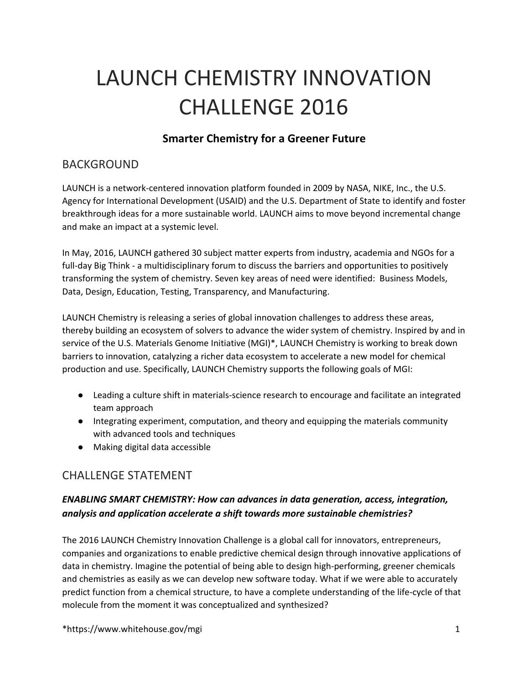# LAUNCH CHEMISTRY INNOVATION CHALLENGE 2016

## **Smarter Chemistry for a Greener Future**

## BACKGROUND

LAUNCH is a network-centered innovation platform founded in 2009 by NASA, NIKE, Inc., the U.S. Agency for International Development (USAID) and the U.S. Department of State to identify and foster breakthrough ideas for a more sustainable world. LAUNCH aims to move beyond incremental change and make an impact at a systemic level.

In May, 2016, LAUNCH gathered 30 subject matter experts from industry, academia and NGOs for a full-day Big Think - a multidisciplinary forum to discuss the barriers and opportunities to positively transforming the system of chemistry. Seven key areas of need were identified: Business Models, Data, Design, Education, Testing, Transparency, and Manufacturing.

LAUNCH Chemistry is releasing a series of global innovation challenges to address these areas, thereby building an ecosystem of solvers to advance the wider system of chemistry. Inspired by and in service of the U.S. Materials Genome Initiative (MGI)\*, LAUNCH Chemistry is working to break down barriers to innovation, catalyzing a richer data ecosystem to accelerate a new model for chemical production and use. Specifically, LAUNCH Chemistry supports the following goals of MGI:

- Leading a culture shift in materials-science research to encourage and facilitate an integrated team approach
- Integrating experiment, computation, and theory and equipping the materials community with advanced tools and techniques
- Making digital data accessible

# CHALLENGE STATEMENT

#### *ENABLING SMART CHEMISTRY: How can advances in data generation, access, integration, analysis and application accelerate a shift towards more sustainable chemistries?*

The 2016 LAUNCH Chemistry Innovation Challenge is a global call for innovators, entrepreneurs, companies and organizations to enable predictive chemical design through innovative applications of data in chemistry. Imagine the potential of being able to design high-performing, greener chemicals and chemistries as easily as we can develop new software today. What if we were able to accurately predict function from a chemical structure, to have a complete understanding of the life-cycle of that molecule from the moment it was conceptualized and synthesized?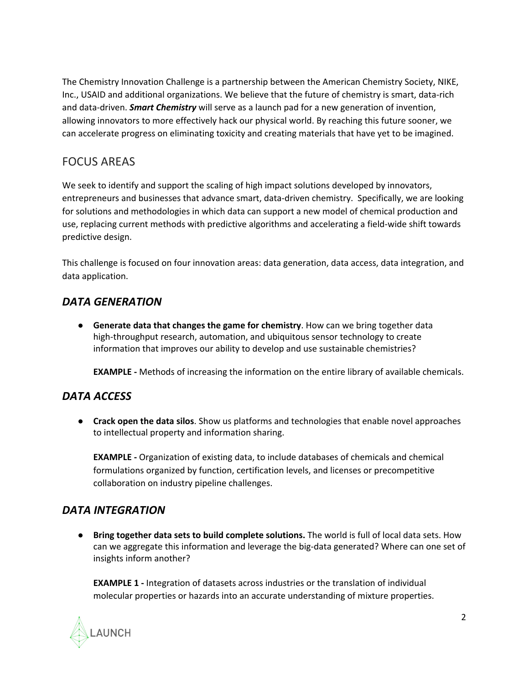The Chemistry Innovation Challenge is a partnership between the American Chemistry Society, NIKE, Inc., USAID and additional organizations. We believe that the future of chemistry is smart, data-rich and data-driven. **Smart Chemistry** will serve as a launch pad for a new generation of invention, allowing innovators to more effectively hack our physical world. By reaching this future sooner, we can accelerate progress on eliminating toxicity and creating materials that have yet to be imagined.

## FOCUS AREAS

We seek to identify and support the scaling of high impact solutions developed by innovators, entrepreneurs and businesses that advance smart, data-driven chemistry. Specifically, we are looking for solutions and methodologies in which data can support a new model of chemical production and use, replacing current methods with predictive algorithms and accelerating a field-wide shift towards predictive design.

This challenge is focused on four innovation areas: data generation, data access, data integration, and data application.

#### *DATA GENERATION*

● **Generate data that changes the game for chemistry**. How can we bring together data high-throughput research, automation, and ubiquitous sensor technology to create information that improves our ability to develop and use sustainable chemistries?

**EXAMPLE** - Methods of increasing the information on the entire library of available chemicals.

#### *DATA ACCESS*

● **Crack open the data silos**. Show us platforms and technologies that enable novel approaches to intellectual property and information sharing.

**EXAMPLE** - Organization of existing data, to include databases of chemicals and chemical formulations organized by function, certification levels, and licenses or precompetitive collaboration on industry pipeline challenges.

#### *DATA INTEGRATION*

● **Bring together data sets to build complete solutions.** The world is full of local data sets. How can we aggregate this information and leverage the big-data generated? Where can one set of insights inform another?

**EXAMPLE 1** - Integration of datasets across industries or the translation of individual molecular properties or hazards into an accurate understanding of mixture properties.

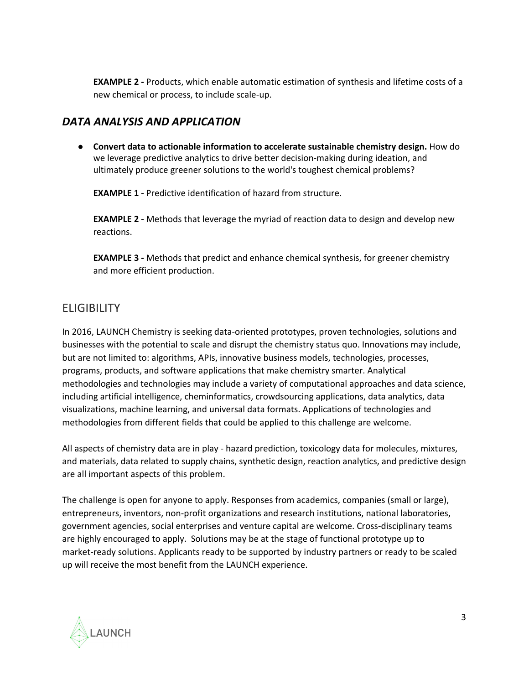**EXAMPLE 2** - Products, which enable automatic estimation of synthesis and lifetime costs of a new chemical or process, to include scale-up.

#### *DATA ANALYSIS AND APPLICATION*

● **Convert data to actionable information to accelerate sustainable chemistry design.** How do we leverage predictive analytics to drive better decision-making during ideation, and ultimately produce greener solutions to the world's toughest chemical problems?

**EXAMPLE 1 - Predictive identification of hazard from structure.** 

**EXAMPLE 2** - Methods that leverage the myriad of reaction data to design and develop new reactions.

**EXAMPLE 3** - Methods that predict and enhance chemical synthesis, for greener chemistry and more efficient production.

# **ELIGIBILITY**

In 2016, LAUNCH Chemistry is seeking data-oriented prototypes, proven technologies, solutions and businesses with the potential to scale and disrupt the chemistry status quo. Innovations may include, but are not limited to: algorithms, APIs, innovative business models, technologies, processes, programs, products, and software applications that make chemistry smarter. Analytical methodologies and technologies may include a variety of computational approaches and data science, including artificial intelligence, cheminformatics, crowdsourcing applications, data analytics, data visualizations, machine learning, and universal data formats. Applications of technologies and methodologies from different fields that could be applied to this challenge are welcome.

All aspects of chemistry data are in play - hazard prediction, toxicology data for molecules, mixtures, and materials, data related to supply chains, synthetic design, reaction analytics, and predictive design are all important aspects of this problem.

The challenge is open for anyone to apply. Responses from academics, companies (small or large), entrepreneurs, inventors, non-profit organizations and research institutions, national laboratories, government agencies, social enterprises and venture capital are welcome. Cross-disciplinary teams are highly encouraged to apply. Solutions may be at the stage of functional prototype up to market-ready solutions. Applicants ready to be supported by industry partners or ready to be scaled up will receive the most benefit from the LAUNCH experience.

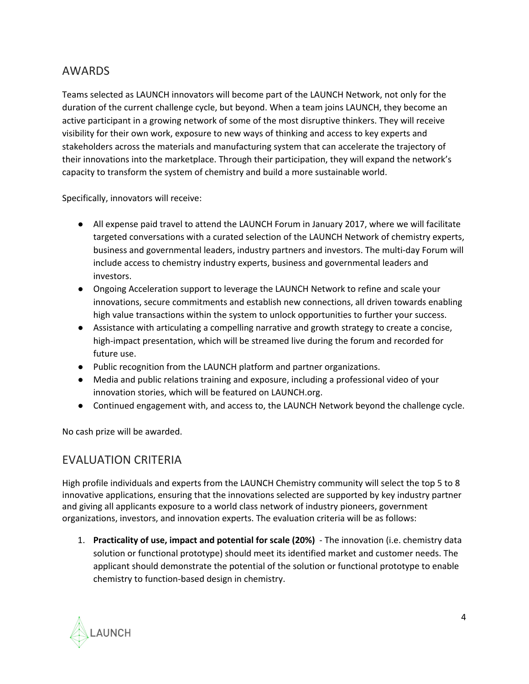## AWARDS

Teams selected as LAUNCH innovators will become part of the LAUNCH Network, not only for the duration of the current challenge cycle, but beyond. When a team joins LAUNCH, they become an active participant in a growing network of some of the most disruptive thinkers. They will receive visibility for their own work, exposure to new ways of thinking and access to key experts and stakeholders across the materials and manufacturing system that can accelerate the trajectory of their innovations into the marketplace. Through their participation, they will expand the network's capacity to transform the system of chemistry and build a more sustainable world.

Specifically, innovators will receive:

- All expense paid travel to attend the LAUNCH Forum in January 2017, where we will facilitate targeted conversations with a curated selection of the LAUNCH Network of chemistry experts, business and governmental leaders, industry partners and investors. The multi-day Forum will include access to chemistry industry experts, business and governmental leaders and investors.
- Ongoing Acceleration support to leverage the LAUNCH Network to refine and scale your innovations, secure commitments and establish new connections, all driven towards enabling high value transactions within the system to unlock opportunities to further your success.
- Assistance with articulating a compelling narrative and growth strategy to create a concise, high-impact presentation, which will be streamed live during the forum and recorded for future use.
- Public recognition from the LAUNCH platform and partner organizations.
- Media and public relations training and exposure, including a professional video of your innovation stories, which will be featured on LAUNCH.org.
- Continued engagement with, and access to, the LAUNCH Network beyond the challenge cycle.

No cash prize will be awarded.

# EVALUATION CRITERIA

High profile individuals and experts from the LAUNCH Chemistry community will select the top 5 to 8 innovative applications, ensuring that the innovations selected are supported by key industry partner and giving all applicants exposure to a world class network of industry pioneers, government organizations, investors, and innovation experts. The evaluation criteria will be as follows:

1. **Practicality of use, impact and potential for scale (20%)** The innovation (i.e. chemistry data solution or functional prototype) should meet its identified market and customer needs. The applicant should demonstrate the potential of the solution or functional prototype to enable chemistry to function-based design in chemistry.

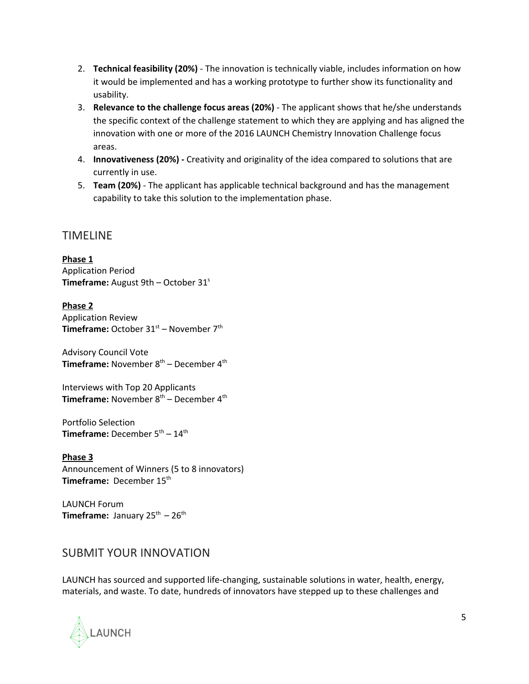- 2. **Technical feasibility (20%)** The innovation is technically viable, includes information on how it would be implemented and has a working prototype to further show its functionality and usability.
- 3. **Relevance to the challenge focus areas (20%)** The applicant shows that he/she understands the specific context of the challenge statement to which they are applying and has aligned the innovation with one or more of the 2016 LAUNCH Chemistry Innovation Challenge focus areas.
- 4. **Innovativeness (20%)** Creativity and originality of the idea compared to solutions that are currently in use.
- 5. **Team (20%)**  The applicant has applicable technical background and has the management capability to take this solution to the implementation phase.

#### TIMELINE

**Phase 1** Application Period **Timeframe:** August 9th – October 31<sup>s</sup>

**Phase 2** Application Review Timeframe: October 31<sup>st</sup> – November 7<sup>th</sup>

Advisory Council Vote **Timeframe:** November 8<sup>th</sup> – December 4<sup>th</sup>

Interviews with Top 20 Applicants **Timeframe:** November 8<sup>th</sup> – December 4<sup>th</sup>

Portfolio Selection **Timeframe:** December 5<sup>th</sup> – 14<sup>th</sup>

**Phase 3** Announcement of Winners (5 to 8 innovators) Timeframe: December 15<sup>th</sup>

LAUNCH Forum **Timeframe:** January  $25^{th} - 26^{th}$ 

## SUBMIT YOUR INNOVATION

LAUNCH has sourced and supported life-changing, sustainable solutions in water, health, energy, materials, and waste. To date, hundreds of innovators have stepped up to these challenges and